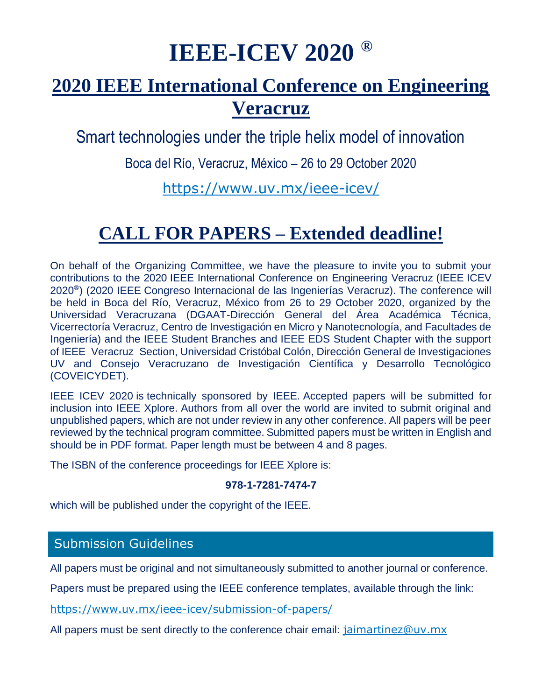# **IEEE-ICEV 2020 ®**

# **[2020 IEEE International Conference on Engineering](https://www.uv.mx/ieee-icev/)  [Veracruz](https://www.uv.mx/ieee-icev/)**

Smart technologies under the triple helix model of innovation

Boca del Río, Veracruz, México – 26 to 29 October 2020

<https://www.uv.mx/ieee-icev/>

# **CALL FOR PAPERS – Extended deadline!**

On behalf of the Organizing Committee, we have the pleasure to invite you to submit your contributions to the 2020 IEEE International Conference on Engineering Veracruz (IEEE ICEV 2020**®** ) (2020 IEEE Congreso Internacional de las Ingenierías Veracruz). The conference will be held in Boca del Río, Veracruz, México from 26 to 29 October 2020, organized by the Universidad Veracruzana (DGAAT-Dirección General del Área Académica Técnica, Vicerrectoría Veracruz, Centro de Investigación en Micro y Nanotecnología, and Facultades de Ingeniería) and the IEEE Student Branches and IEEE EDS Student Chapter with the support of IEEE Veracruz Section, Universidad Cristóbal Colón, Dirección General de Investigaciones UV and Consejo Veracruzano de Investigación Científica y Desarrollo Tecnológico (COVEICYDET).

IEEE ICEV 2020 is technically sponsored by IEEE. Accepted papers will be submitted for inclusion into IEEE Xplore. Authors from all over the world are invited to submit original and unpublished papers, which are not under review in any other conference. All papers will be peer reviewed by the technical program committee. Submitted papers must be written in English and should be in PDF format. Paper length must be between 4 and 8 pages.

The ISBN of the conference proceedings for IEEE Xplore is:

#### **978-1-7281-7474-7**

which will be published under the copyright of the IEEE.

### Submission Guidelines

All papers must be original and not simultaneously submitted to another journal or conference.

Papers must be prepared using the IEEE conference templates, available through the link:

<https://www.uv.mx/ieee-icev/submission-of-papers/>

All papers must be sent directly to the conference chair email: [jaimartinez@uv.mx](mailto:jaimartinez@uv.mx)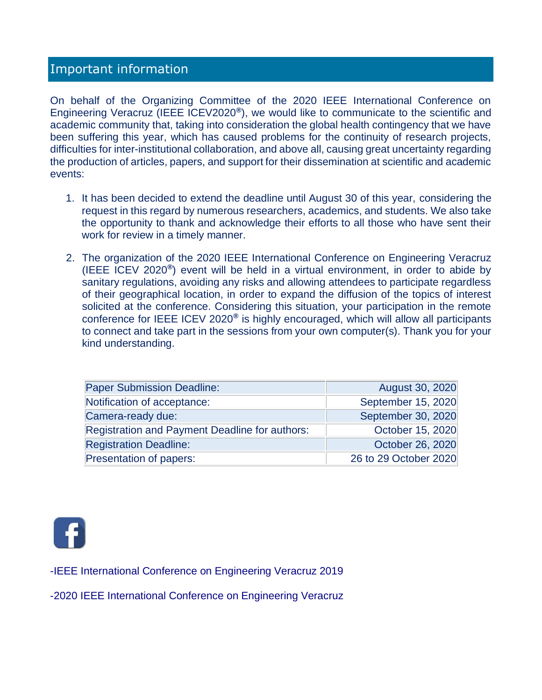### Important information

On behalf of the Organizing Committee of the 2020 IEEE International Conference on Engineering Veracruz (IEEE ICEV2020**®** ), we would like to communicate to the scientific and academic community that, taking into consideration the global health contingency that we have been suffering this year, which has caused problems for the continuity of research projects, difficulties for inter-institutional collaboration, and above all, causing great uncertainty regarding the production of articles, papers, and support for their dissemination at scientific and academic events:

- 1. It has been decided to extend the deadline until August 30 of this year, considering the request in this regard by numerous researchers, academics, and students. We also take the opportunity to thank and acknowledge their efforts to all those who have sent their work for review in a timely manner.
- 2. The organization of the 2020 IEEE International Conference on Engineering Veracruz (IEEE ICEV 2020**®** ) event will be held in a virtual environment, in order to abide by sanitary regulations, avoiding any risks and allowing attendees to participate regardless of their geographical location, in order to expand the diffusion of the topics of interest solicited at the conference. Considering this situation, your participation in the remote conference for IEEE ICEV 2020**®** is highly encouraged, which will allow all participants to connect and take part in the sessions from your own computer(s). Thank you for your kind understanding.

| <b>Paper Submission Deadline:</b>              | August 30, 2020       |
|------------------------------------------------|-----------------------|
| Notification of acceptance:                    | September 15, 2020    |
| Camera-ready due:                              | September 30, 2020    |
| Registration and Payment Deadline for authors: | October 15, 2020      |
| <b>Registration Deadline:</b>                  | October 26, 2020      |
| Presentation of papers:                        | 26 to 29 October 2020 |



-IEEE International Conference on Engineering Veracruz 2019

-2020 IEEE International Conference on Engineering Veracruz